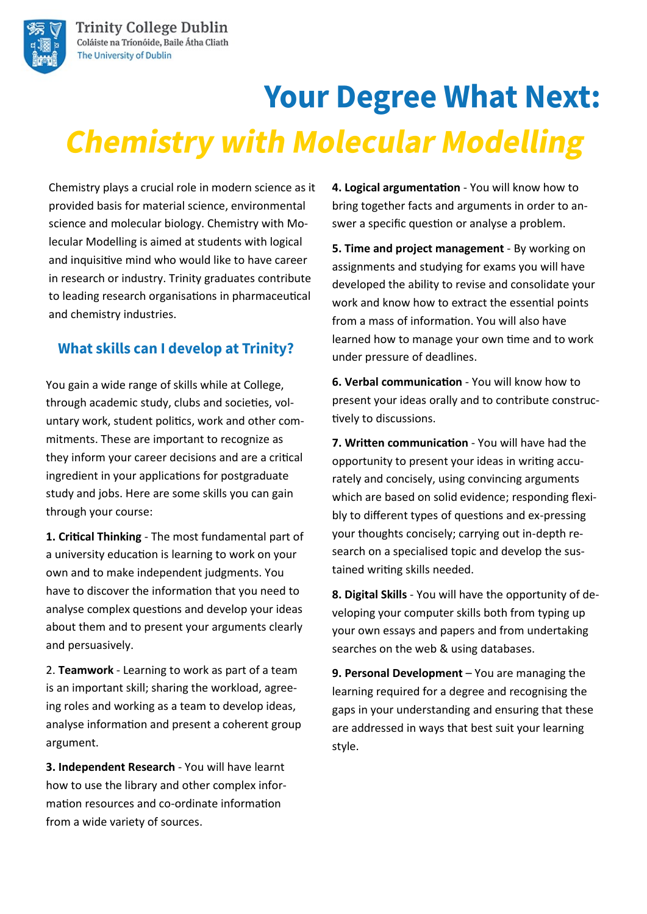

# **Your Degree What Next: Chemistry with Molecular Modelling**

Chemistry plays a crucial role in modern science as it provided basis for material science, environmental science and molecular biology. Chemistry with Molecular Modelling is aimed at students with logical and inquisitive mind who would like to have career in research or industry. Trinity graduates contribute to leading research organisations in pharmaceutical and chemistry industries.

## **What skills can I develop at Trinity?**

You gain a wide range of skills while at College, through academic study, clubs and societies, voluntary work, student politics, work and other commitments. These are important to recognize as they inform your career decisions and are a critical ingredient in your applications for postgraduate study and jobs. Here are some skills you can gain through your course:

**1. Critical Thinking** - The most fundamental part of a university education is learning to work on your own and to make independent judgments. You have to discover the information that you need to analyse complex questions and develop your ideas about them and to present your arguments clearly and persuasively.

2. **Teamwork** - Learning to work as part of a team is an important skill; sharing the workload, agreeing roles and working as a team to develop ideas, analyse information and present a coherent group argument.

**3. Independent Research** - You will have learnt how to use the library and other complex information resources and co-ordinate information from a wide variety of sources.

**4. Logical argumentation** - You will know how to bring together facts and arguments in order to answer a specific question or analyse a problem.

**5. Time and project management** - By working on assignments and studying for exams you will have developed the ability to revise and consolidate your work and know how to extract the essential points from a mass of information. You will also have learned how to manage your own time and to work under pressure of deadlines.

**6. Verbal communication** - You will know how to present your ideas orally and to contribute constructively to discussions.

**7. Written communication** - You will have had the opportunity to present your ideas in writing accurately and concisely, using convincing arguments which are based on solid evidence; responding flexibly to different types of questions and ex-pressing your thoughts concisely; carrying out in-depth research on a specialised topic and develop the sustained writing skills needed.

**8. Digital Skills** - You will have the opportunity of developing your computer skills both from typing up your own essays and papers and from undertaking searches on the web & using databases.

**9. Personal Development** – You are managing the learning required for a degree and recognising the gaps in your understanding and ensuring that these are addressed in ways that best suit your learning style.